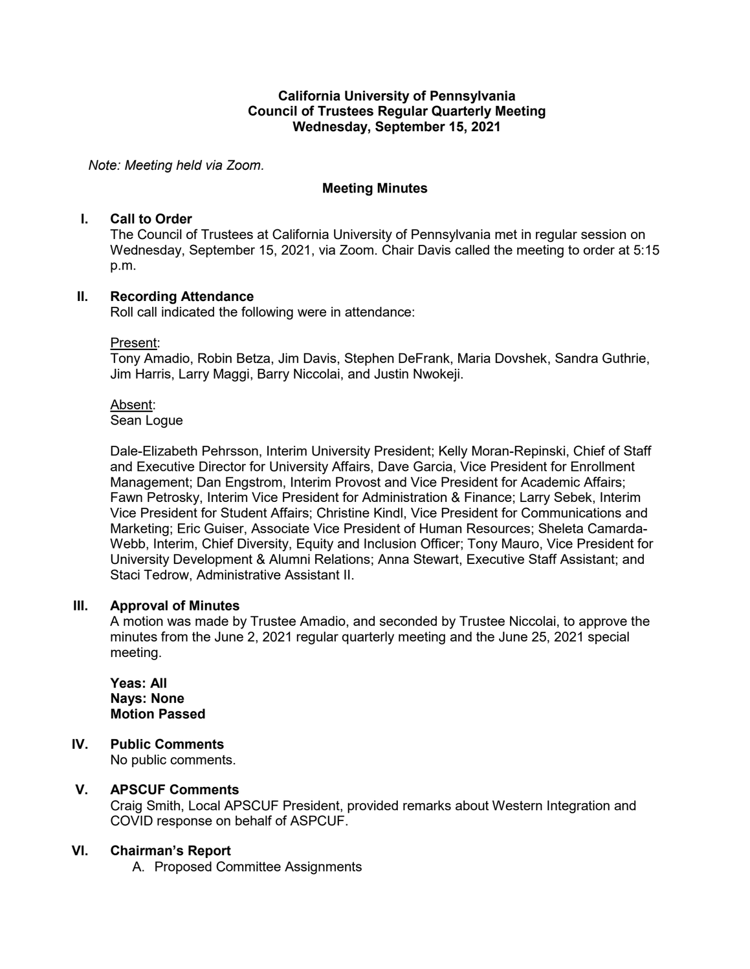### **California University of Pennsylvania Council of Trustees Regular Quarterly Meeting Wednesday, September 15, 2021**

*Note: Meeting held via Zoom.*

## **Meeting Minutes**

### **I. Call to Order**

The Council of Trustees at California University of Pennsylvania met in regular session on Wednesday, September 15, 2021, via Zoom. Chair Davis called the meeting to order at 5:15 p.m.

## **II. Recording Attendance**

Roll call indicated the following were in attendance:

### Present:

Tony Amadio, Robin Betza, Jim Davis, Stephen DeFrank, Maria Dovshek, Sandra Guthrie, Jim Harris, Larry Maggi, Barry Niccolai, and Justin Nwokeji.

### Absent:

Sean Logue

Dale-Elizabeth Pehrsson, Interim University President; Kelly Moran-Repinski, Chief of Staff and Executive Director for University Affairs, Dave Garcia, Vice President for Enrollment Management; Dan Engstrom, Interim Provost and Vice President for Academic Affairs; Fawn Petrosky, Interim Vice President for Administration & Finance; Larry Sebek, Interim Vice President for Student Affairs; Christine Kindl, Vice President for Communications and Marketing; Eric Guiser, Associate Vice President of Human Resources; Sheleta Camarda-Webb, Interim, Chief Diversity, Equity and Inclusion Officer; Tony Mauro, Vice President for University Development & Alumni Relations; Anna Stewart, Executive Staff Assistant; and Staci Tedrow, Administrative Assistant II.

## **III. Approval of Minutes**

A motion was made by Trustee Amadio, and seconded by Trustee Niccolai, to approve the minutes from the June 2, 2021 regular quarterly meeting and the June 25, 2021 special meeting.

**Yeas: All Nays: None Motion Passed**

## **IV. Public Comments**

No public comments.

## **V. APSCUF Comments**

Craig Smith, Local APSCUF President, provided remarks about Western Integration and COVID response on behalf of ASPCUF.

## **VI. Chairman's Report**

A. Proposed Committee Assignments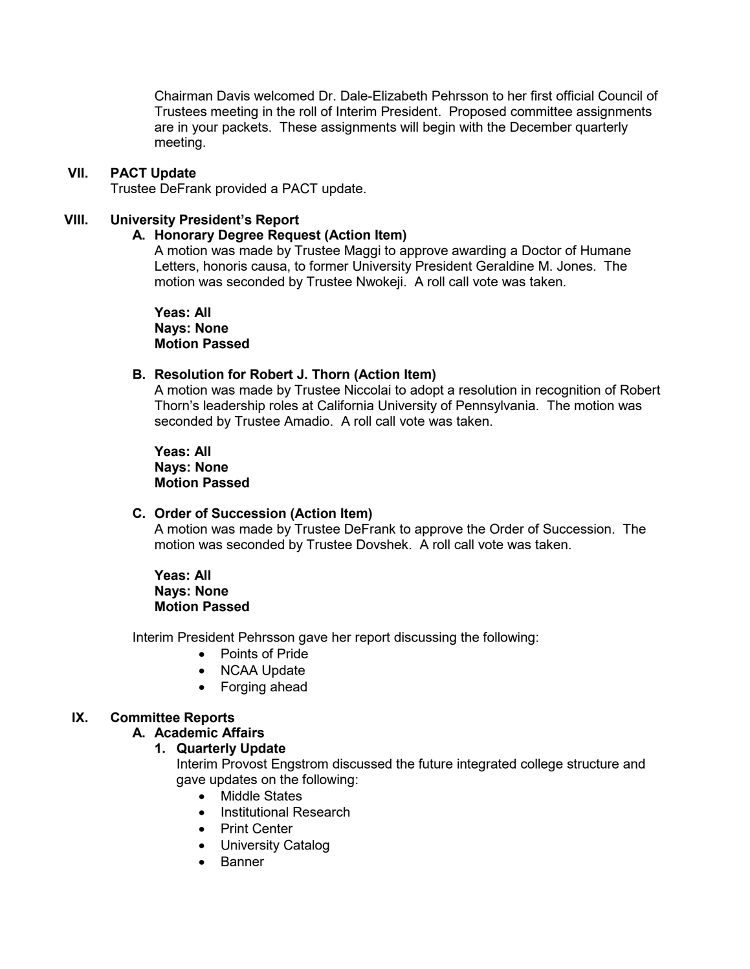Chairman Davis welcomed Dr. Dale-Elizabeth Pehrsson to her first official Council of Trustees meeting in the roll of Interim President. Proposed committee assignments are in your packets. These assignments will begin with the December quarterly meeting.

### **VII. PACT Update**

Trustee DeFrank provided a PACT update.

### **VIII. University President's Report**

#### **A. Honorary Degree Request (Action Item)**

A motion was made by Trustee Maggi to approve awarding a Doctor of Humane Letters, honoris causa, to former University President Geraldine M. Jones. The motion was seconded by Trustee Nwokeji. A roll call vote was taken.

**Yeas: All Nays: None Motion Passed**

#### **B. Resolution for Robert J. Thorn (Action Item)**

A motion was made by Trustee Niccolai to adopt a resolution in recognition of Robert Thorn's leadership roles at California University of Pennsylvania. The motion was seconded by Trustee Amadio. A roll call vote was taken.

**Yeas: All Nays: None Motion Passed**

### **C. Order of Succession (Action Item)**

A motion was made by Trustee DeFrank to approve the Order of Succession. The motion was seconded by Trustee Dovshek. A roll call vote was taken.

### **Yeas: All Nays: None Motion Passed**

Interim President Pehrsson gave her report discussing the following:

- Points of Pride
- NCAA Update
- Forging ahead

### **IX. Committee Reports**

#### **A. Academic Affairs**

#### **1. Quarterly Update**

Interim Provost Engstrom discussed the future integrated college structure and gave updates on the following:

- Middle States
- Institutional Research
- Print Center
- University Catalog
- Banner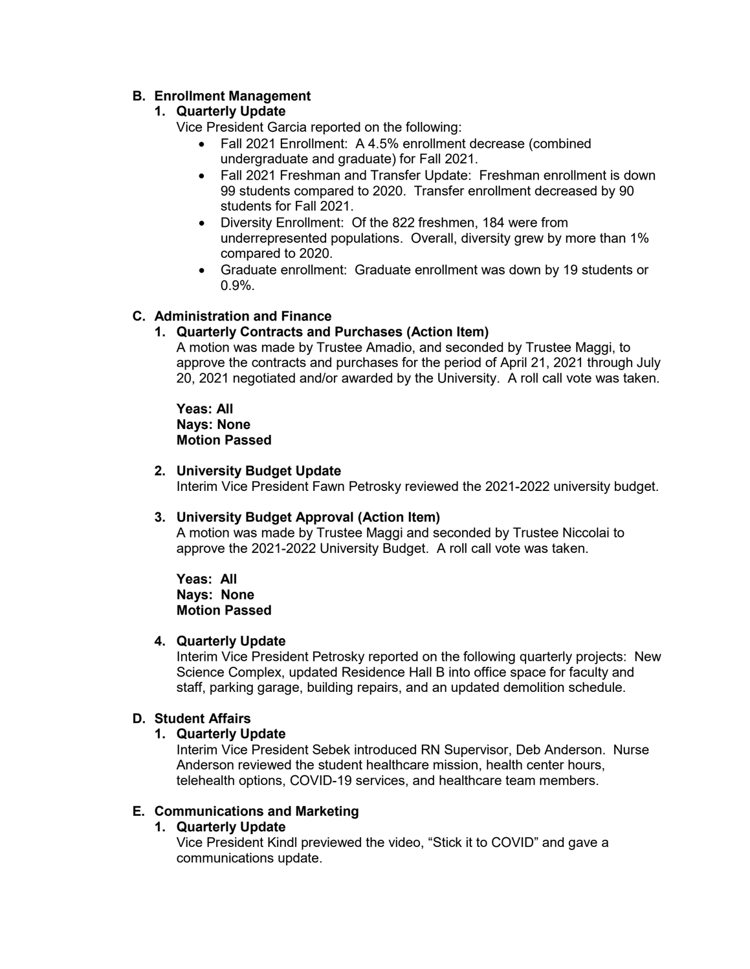## **B. Enrollment Management**

## **1. Quarterly Update**

Vice President Garcia reported on the following:

- Fall 2021 Enrollment: A 4.5% enrollment decrease (combined undergraduate and graduate) for Fall 2021.
- Fall 2021 Freshman and Transfer Update: Freshman enrollment is down 99 students compared to 2020. Transfer enrollment decreased by 90 students for Fall 2021.
- Diversity Enrollment: Of the 822 freshmen, 184 were from underrepresented populations. Overall, diversity grew by more than 1% compared to 2020.
- Graduate enrollment: Graduate enrollment was down by 19 students or 0.9%.

## **C. Administration and Finance**

## **1. Quarterly Contracts and Purchases (Action Item)**

A motion was made by Trustee Amadio, and seconded by Trustee Maggi, to approve the contracts and purchases for the period of April 21, 2021 through July 20, 2021 negotiated and/or awarded by the University. A roll call vote was taken.

**Yeas: All Nays: None Motion Passed**

## **2. University Budget Update**

Interim Vice President Fawn Petrosky reviewed the 2021-2022 university budget.

## **3. University Budget Approval (Action Item)**

A motion was made by Trustee Maggi and seconded by Trustee Niccolai to approve the 2021-2022 University Budget. A roll call vote was taken.

**Yeas: All Nays: None Motion Passed**

## **4. Quarterly Update**

Interim Vice President Petrosky reported on the following quarterly projects: New Science Complex, updated Residence Hall B into office space for faculty and staff, parking garage, building repairs, and an updated demolition schedule.

## **D. Student Affairs**

## **1. Quarterly Update**

Interim Vice President Sebek introduced RN Supervisor, Deb Anderson. Nurse Anderson reviewed the student healthcare mission, health center hours, telehealth options, COVID-19 services, and healthcare team members.

## **E. Communications and Marketing**

## **1. Quarterly Update**

Vice President Kindl previewed the video, "Stick it to COVID" and gave a communications update.